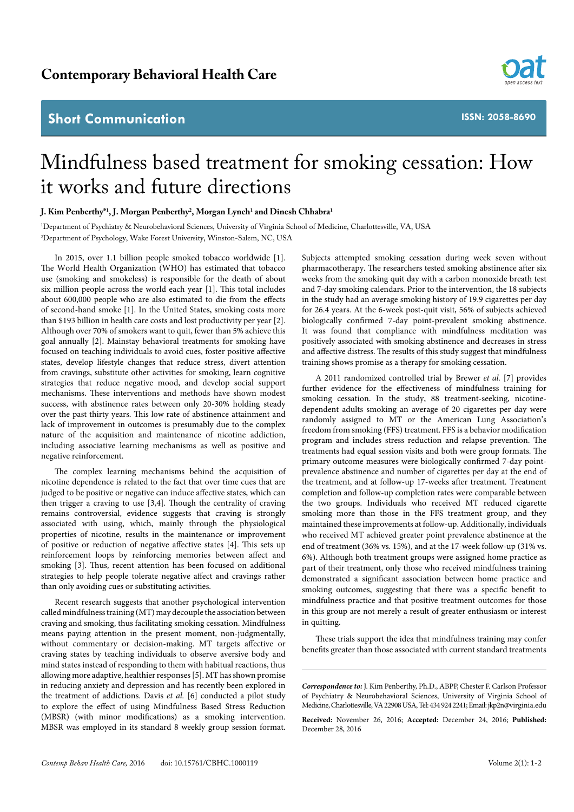## **Short Communication**



**ISSN: 2058-8690**

## Mindfulness based treatment for smoking cessation: How it works and future directions

## **J. Kim Penberthy\*1 , J. Morgan Penberthy2 , Morgan Lynch1 and Dinesh Chhabra1**

1 Department of Psychiatry & Neurobehavioral Sciences, University of Virginia School of Medicine, Charlottesville, VA, USA 2 Department of Psychology, Wake Forest University, Winston-Salem, NC, USA

In 2015, over 1.1 billion people smoked tobacco worldwide [1]. The World Health Organization (WHO) has estimated that tobacco use (smoking and smokeless) is responsible for the death of about six million people across the world each year [1]. This total includes about 600,000 people who are also estimated to die from the effects of second-hand smoke [1]. In the United States, smoking costs more than \$193 billion in health care costs and lost productivity per year [2]. Although over 70% of smokers want to quit, fewer than 5% achieve this goal annually [2]. Mainstay behavioral treatments for smoking have focused on teaching individuals to avoid cues, foster positive affective states, develop lifestyle changes that reduce stress, divert attention from cravings, substitute other activities for smoking, learn cognitive strategies that reduce negative mood, and develop social support mechanisms. These interventions and methods have shown modest success, with abstinence rates between only 20-30% holding steady over the past thirty years. This low rate of abstinence attainment and lack of improvement in outcomes is presumably due to the complex nature of the acquisition and maintenance of nicotine addiction, including associative learning mechanisms as well as positive and negative reinforcement.

The complex learning mechanisms behind the acquisition of nicotine dependence is related to the fact that over time cues that are judged to be positive or negative can induce affective states, which can then trigger a craving to use [3,4]. Though the centrality of craving remains controversial, evidence suggests that craving is strongly associated with using, which, mainly through the physiological properties of nicotine, results in the maintenance or improvement of positive or reduction of negative affective states [4]. This sets up reinforcement loops by reinforcing memories between affect and smoking [3]. Thus, recent attention has been focused on additional strategies to help people tolerate negative affect and cravings rather than only avoiding cues or substituting activities.

Recent research suggests that another psychological intervention called mindfulness training (MT) may decouple the association between craving and smoking, thus facilitating smoking cessation. Mindfulness means paying attention in the present moment, non-judgmentally, without commentary or decision-making. MT targets affective or craving states by teaching individuals to observe aversive body and mind states instead of responding to them with habitual reactions, thus allowing more adaptive, healthier responses [5]. MT has shown promise in reducing anxiety and depression and has recently been explored in the treatment of addictions. Davis *et al.* [6] conducted a pilot study to explore the effect of using Mindfulness Based Stress Reduction (MBSR) (with minor modifications) as a smoking intervention. MBSR was employed in its standard 8 weekly group session format. Subjects attempted smoking cessation during week seven without pharmacotherapy. The researchers tested smoking abstinence after six weeks from the smoking quit day with a carbon monoxide breath test and 7-day smoking calendars. Prior to the intervention, the 18 subjects in the study had an average smoking history of 19.9 cigarettes per day for 26.4 years. At the 6-week post-quit visit, 56% of subjects achieved biologically confirmed 7-day point-prevalent smoking abstinence. It was found that compliance with mindfulness meditation was positively associated with smoking abstinence and decreases in stress and affective distress. The results of this study suggest that mindfulness training shows promise as a therapy for smoking cessation.

A 2011 randomized controlled trial by Brewer *et al.* [7] provides further evidence for the effectiveness of mindfulness training for smoking cessation. In the study, 88 treatment-seeking, nicotinedependent adults smoking an average of 20 cigarettes per day were randomly assigned to MT or the American Lung Association's freedom from smoking (FFS) treatment. FFS is a behavior modification program and includes stress reduction and relapse prevention. The treatments had equal session visits and both were group formats. The primary outcome measures were biologically confirmed 7-day pointprevalence abstinence and number of cigarettes per day at the end of the treatment, and at follow-up 17-weeks after treatment. Treatment completion and follow-up completion rates were comparable between the two groups. Individuals who received MT reduced cigarette smoking more than those in the FFS treatment group, and they maintained these improvements at follow-up. Additionally, individuals who received MT achieved greater point prevalence abstinence at the end of treatment (36% vs. 15%), and at the 17-week follow-up (31% vs. 6%). Although both treatment groups were assigned home practice as part of their treatment, only those who received mindfulness training demonstrated a significant association between home practice and smoking outcomes, suggesting that there was a specific benefit to mindfulness practice and that positive treatment outcomes for those in this group are not merely a result of greater enthusiasm or interest in quitting.

These trials support the idea that mindfulness training may confer benefits greater than those associated with current standard treatments

*Correspondence to:* J. Kim Penberthy, Ph.D., ABPP, Chester F. Carlson Professor of Psychiatry & Neurobehavioral Sciences, University of Virginia School of Medicine, Charlottesville, VA 22908 USA, Tel: 434 924 2241; Email: jkp2n@virginia.edu

**Received:** November 26, 2016; **Accepted:** December 24, 2016; **Published:**  December 28, 2016